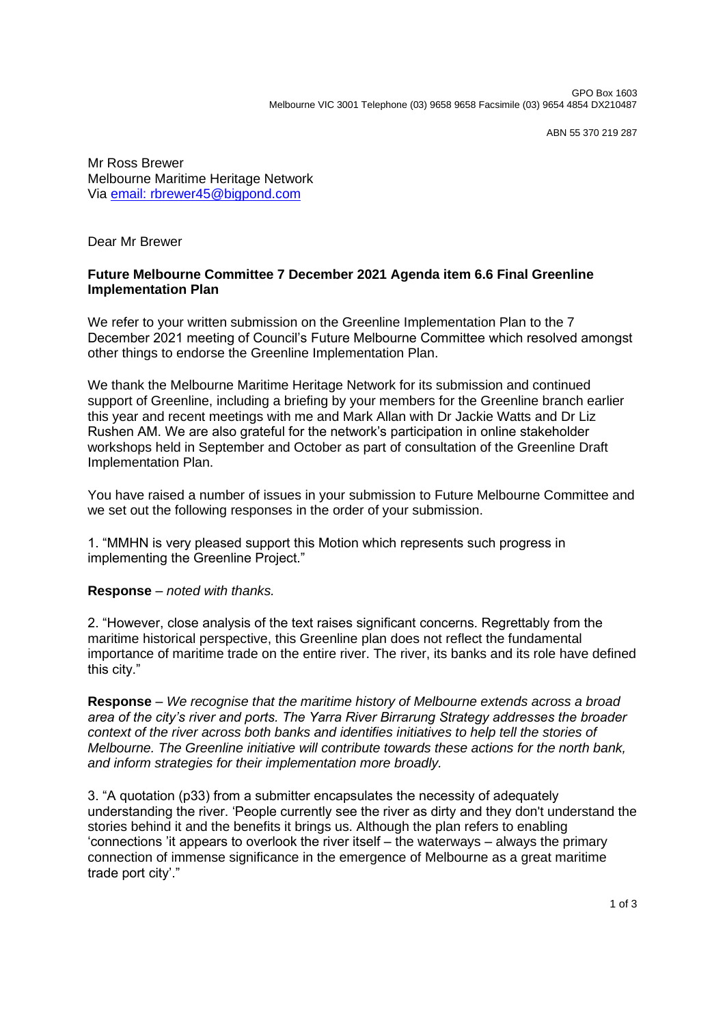ABN 55 370 219 287

Mr Ross Brewer Melbourne Maritime Heritage Network Via [email: rbrewer45@bigpond.com](mailto:rbrewer45@bigpond.com)

Dear Mr Brewer

## **Future Melbourne Committee 7 December 2021 Agenda item 6.6 Final Greenline Implementation Plan**

We refer to your written submission on the Greenline Implementation Plan to the 7 December 2021 meeting of Council's Future Melbourne Committee which resolved amongst other things to endorse the Greenline Implementation Plan.

We thank the Melbourne Maritime Heritage Network for its submission and continued support of Greenline, including a briefing by your members for the Greenline branch earlier this year and recent meetings with me and Mark Allan with Dr Jackie Watts and Dr Liz Rushen AM. We are also grateful for the network's participation in online stakeholder workshops held in September and October as part of consultation of the Greenline Draft Implementation Plan.

You have raised a number of issues in your submission to Future Melbourne Committee and we set out the following responses in the order of your submission.

1. "MMHN is very pleased support this Motion which represents such progress in implementing the Greenline Project."

## **Response** *– noted with thanks.*

2. "However, close analysis of the text raises significant concerns. Regrettably from the maritime historical perspective, this Greenline plan does not reflect the fundamental importance of maritime trade on the entire river. The river, its banks and its role have defined this city."

**Response** *– We recognise that the maritime history of Melbourne extends across a broad area of the city's river and ports. The Yarra River Birrarung Strategy addresses the broader context of the river across both banks and identifies initiatives to help tell the stories of Melbourne. The Greenline initiative will contribute towards these actions for the north bank, and inform strategies for their implementation more broadly.*

3. "A quotation (p33) from a submitter encapsulates the necessity of adequately understanding the river. 'People currently see the river as dirty and they don't understand the stories behind it and the benefits it brings us. Although the plan refers to enabling 'connections 'it appears to overlook the river itself – the waterways – always the primary connection of immense significance in the emergence of Melbourne as a great maritime trade port city'."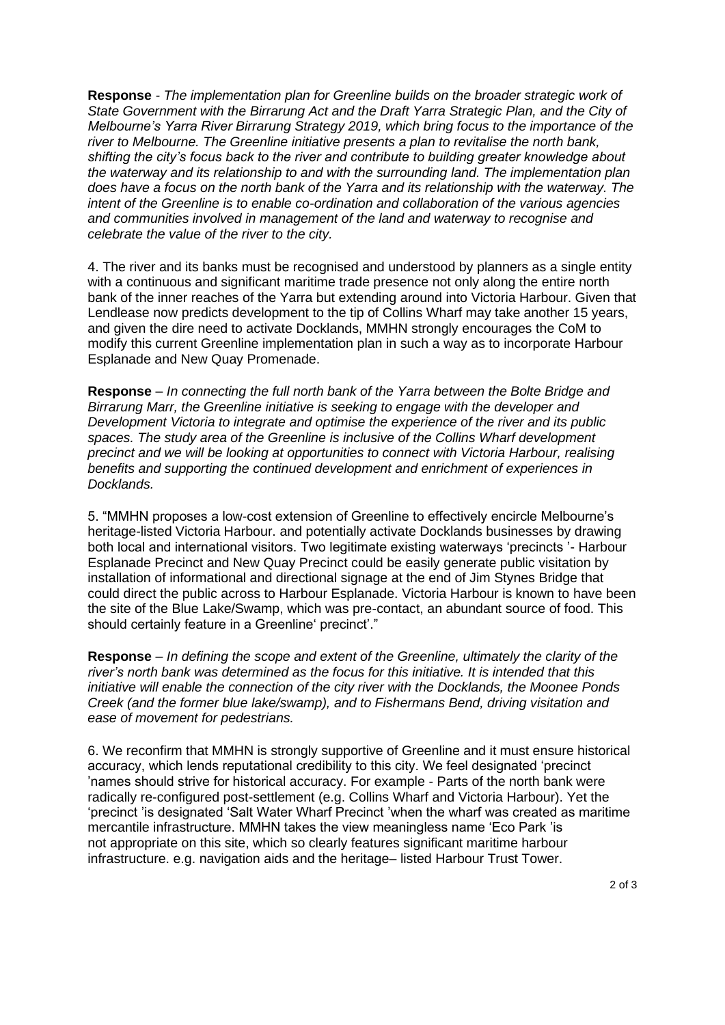**Response** *- The implementation plan for Greenline builds on the broader strategic work of State Government with the Birrarung Act and the Draft Yarra Strategic Plan, and the City of Melbourne's Yarra River Birrarung Strategy 2019, which bring focus to the importance of the river to Melbourne. The Greenline initiative presents a plan to revitalise the north bank, shifting the city's focus back to the river and contribute to building greater knowledge about the waterway and its relationship to and with the surrounding land. The implementation plan does have a focus on the north bank of the Yarra and its relationship with the waterway. The intent of the Greenline is to enable co-ordination and collaboration of the various agencies and communities involved in management of the land and waterway to recognise and celebrate the value of the river to the city.*

4. The river and its banks must be recognised and understood by planners as a single entity with a continuous and significant maritime trade presence not only along the entire north bank of the inner reaches of the Yarra but extending around into Victoria Harbour. Given that Lendlease now predicts development to the tip of Collins Wharf may take another 15 years, and given the dire need to activate Docklands, MMHN strongly encourages the CoM to modify this current Greenline implementation plan in such a way as to incorporate Harbour Esplanade and New Quay Promenade.

**Response** *– In connecting the full north bank of the Yarra between the Bolte Bridge and Birrarung Marr, the Greenline initiative is seeking to engage with the developer and Development Victoria to integrate and optimise the experience of the river and its public spaces. The study area of the Greenline is inclusive of the Collins Wharf development precinct and we will be looking at opportunities to connect with Victoria Harbour, realising benefits and supporting the continued development and enrichment of experiences in Docklands.*

5. "MMHN proposes a low-cost extension of Greenline to effectively encircle Melbourne's heritage-listed Victoria Harbour. and potentially activate Docklands businesses by drawing both local and international visitors. Two legitimate existing waterways 'precincts '- Harbour Esplanade Precinct and New Quay Precinct could be easily generate public visitation by installation of informational and directional signage at the end of Jim Stynes Bridge that could direct the public across to Harbour Esplanade. Victoria Harbour is known to have been the site of the Blue Lake/Swamp, which was pre-contact, an abundant source of food. This should certainly feature in a Greenline' precinct'."

**Response** *– In defining the scope and extent of the Greenline, ultimately the clarity of the river's north bank was determined as the focus for this initiative. It is intended that this initiative will enable the connection of the city river with the Docklands, the Moonee Ponds Creek (and the former blue lake/swamp), and to Fishermans Bend, driving visitation and ease of movement for pedestrians.*

6. We reconfirm that MMHN is strongly supportive of Greenline and it must ensure historical accuracy, which lends reputational credibility to this city. We feel designated 'precinct 'names should strive for historical accuracy. For example - Parts of the north bank were radically re-configured post-settlement (e.g. Collins Wharf and Victoria Harbour). Yet the 'precinct 'is designated 'Salt Water Wharf Precinct 'when the wharf was created as maritime mercantile infrastructure. MMHN takes the view meaningless name 'Eco Park 'is not appropriate on this site, which so clearly features significant maritime harbour infrastructure. e.g. navigation aids and the heritage– listed Harbour Trust Tower.